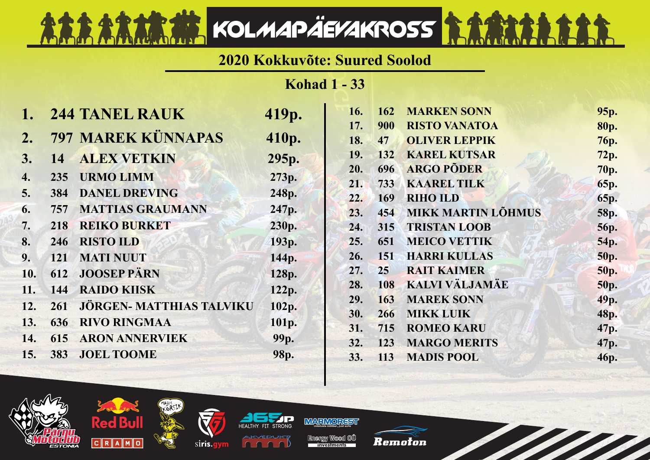## **2020 Kokkuvõte: Suured Soolod**

KOLMAPÄEVAKROSS RAAMA

**Kohad 1 - 33**

|     |            | <b>244 TANEL RAUK</b>           | 419p.             | 16. | <b>162</b> | <b>MARKEN SONN</b>        | 95p.        |
|-----|------------|---------------------------------|-------------------|-----|------------|---------------------------|-------------|
|     |            |                                 |                   | 17. | 900        | <b>RISTO VANATOA</b>      | 80p.        |
| 2.  |            | 797 MAREK KÜNNAPAS              | 410p.             | 18. | 47         | <b>OLIVER LEPPIK</b>      | <b>76p.</b> |
| 3.  | 14         | <b>ALEX VETKIN</b>              | 295p.             | 19. | 132        | <b>KAREL KUTSAR</b>       | 72p.        |
| 4.  | 235        | <b>URMO LIMM</b>                | 273p.             | 20. | 696        | <b>ARGO PÕDER</b>         | <b>70p.</b> |
|     |            |                                 |                   | 21. | 733        | <b>KAAREL TILK</b>        | <b>65p.</b> |
| 5.  | 384        | <b>DANEL DREVING</b>            | 248p.             | 22. | 169        | <b>RIHO ILD</b>           | 65p.        |
| 6.  | 757        | <b>MATTIAS GRAUMANN</b>         | 247p.             | 23. | 454        | <b>MIKK MARTIN LÕHMUS</b> | <b>58p.</b> |
| 7.  | 218        | <b>REIKO BURKET</b>             | 230p.             | 24. | 315        | <b>TRISTAN LOOB</b>       | <b>56p.</b> |
| 8.  | 246        | <b>RISTO ILD</b>                | 193 <sub>p.</sub> | 25. | 651        | <b>MEICO VETTIK</b>       | 54p.        |
| 9.  | <b>121</b> | <b>MATI NUUT</b>                | 144p.             | 26. | <b>151</b> | <b>HARRI KULLAS</b>       | <b>50p.</b> |
| 10. | 612        | <b>JOOSEP PÄRN</b>              | 128p.             | 27. | 25         | <b>RAIT KAIMER</b>        | 50p.        |
| 11. | 144        | <b>RAIDO KIISK</b>              | 122p.             | 28. | 108        | KALVI VÄLJAMÄE            | <b>50p.</b> |
| 12. | 261        | <b>JÖRGEN- MATTHIAS TALVIKU</b> |                   | 29. | 163        | <b>MAREK SONN</b>         | 49p.        |
|     |            |                                 | 102p.             | 30. | 266        | <b>MIKK LUIK</b>          | 48p.        |
| 13. | 636        | <b>RIVO RINGMAA</b>             | 101p.             | 31. | 715        | <b>ROMEO KARU</b>         | 47p.        |
| 14. | 615        | <b>ARON ANNERVIEK</b>           | 99p.              | 32. | 123        | <b>MARGO MERITS</b>       | 47p.        |
| 15. | 383        | <b>JOEL TOOME</b>               | 98p.              | 33. | 113        | <b>MADIS POOL</b>         | 46p.        |
|     |            |                                 |                   |     |            |                           |             |





Red Bu





Energy Wood OU investments